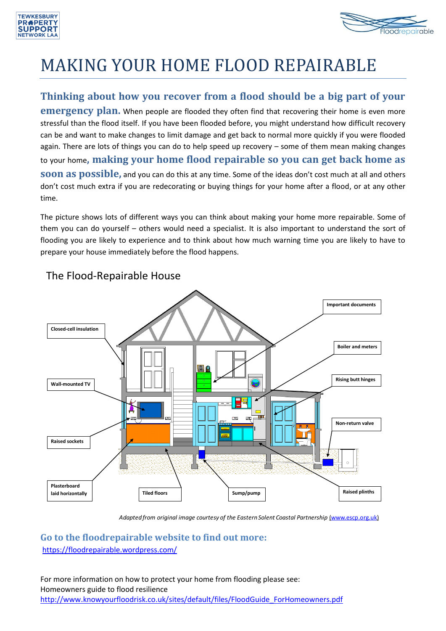



# MAKING YOUR HOME FLOOD REPAIRABLE

## **Thinking about how you recover from a flood should be a big part of your**

**emergency plan.** When people are flooded they often find that recovering their home is even more stressful than the flood itself. If you have been flooded before, you might understand how difficult recovery can be and want to make changes to limit damage and get back to normal more quickly if you were flooded again. There are lots of things you can do to help speed up recovery – some of them mean making changes to your home**, making your home flood repairable so you can get back home as soon as possible,** and you can do this at any time. Some of the ideas don't cost much at all and others don't cost much extra if you are redecorating or buying things for your home after a flood, or at any other time.

The picture shows lots of different ways you can think about making your home more repairable. Some of them you can do yourself – others would need a specialist. It is also important to understand the sort of flooding you are likely to experience and to think about how much warning time you are likely to have to prepare your house immediately before the flood happens.



# The Flood-Repairable House

Adapted from original image courtesy of the Eastern Solent Coastal Partnership (www.escp.org.uk)

### **Go to the floodrepairable website to find out more:** <https://floodrepairable.wordpress.com/>

For more information on how to protect your home from flooding please see: Homeowners guide to flood resilience [http://www.knowyourfloodrisk.co.uk/sites/default/files/FloodGuide\\_ForHomeowners.pdf](http://www.knowyourfloodrisk.co.uk/sites/default/files/FloodGuide_ForHomeowners.pdf)